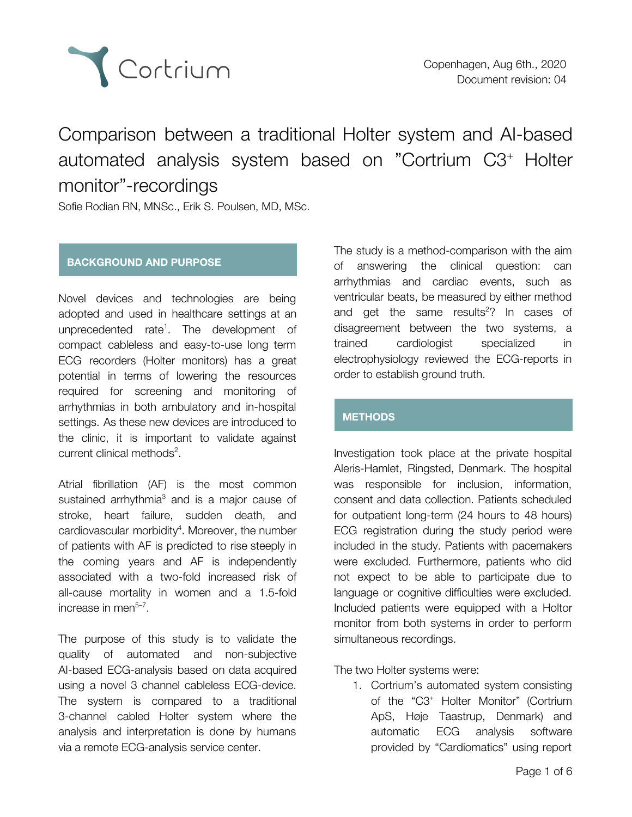

# Comparison between a traditional Holter system and AI-based automated analysis system based on "Cortrium C3<sup>+</sup> Holter monitor"-recordings

Sofie Rodian RN, MNSc., Erik S. Poulsen, MD, MSc.

#### **BACKGROUND AND PURPOSE**

Novel devices and technologies are being adopted and used in healthcare settings at an unprecedented rate [1](https://www.zotero.org/google-docs/?kJn9cf) . The development of compact cableless and easy-to-use long term ECG recorders (Holter monitors) has a great potential in terms of lowering the resources required for screening and monitoring of arrhythmias in both ambulatory and in-hospital settings. As these new devices are introduced to the clinic, it is important to validate against current clinical methods<sup>[2](https://www.zotero.org/google-docs/?HD5vCG)</sup>.

Atrial fibrillation (AF) is the most common sustained arrhythmia<sup>[3](https://www.zotero.org/google-docs/?Snn8Oc)</sup> and is a major cause of stroke, heart failure, sudden death, and cardiovascular morbidity [4](https://www.zotero.org/google-docs/?A2CYY2) . Moreover, the number of patients with AF is predicted to rise steeply in the coming years and AF is independently associated with a two-fold increased risk of all-cause mortality in women and a 1.5-fold increase in men [5–7](https://www.zotero.org/google-docs/?Sv0UfH) .

The purpose of this study is to validate the quality of automated and non-subjective AI-based ECG-analysis based on data acquired using a novel 3 channel cableless ECG-device. The system is compared to a traditional 3-channel cabled Holter system where the analysis and interpretation is done by humans via a remote ECG-analysis service center.

The study is a method-comparison with the aim of answering the clinical question: can arrhythmias and cardiac events, such as ventricular beats, be measured by either method and get the same results [2](https://www.zotero.org/google-docs/?Su7jYC)? In cases of disagreement between the two systems, a trained cardiologist specialized in electrophysiology reviewed the ECG-reports in order to establish ground truth.

### **METHODS**

Investigation took place at the private hospital Aleris-Hamlet, Ringsted, Denmark. The hospital was responsible for inclusion, information, consent and data collection. Patients scheduled for outpatient long-term (24 hours to 48 hours) ECG registration during the study period were included in the study. Patients with pacemakers were excluded. Furthermore, patients who did not expect to be able to participate due to language or cognitive difficulties were excluded. Included patients were equipped with a Holtor monitor from both systems in order to perform simultaneous recordings.

The two Holter systems were:

1. Cortrium's automated system consisting of the "C3<sup>+</sup> Holter Monitor" (Cortrium ApS, Høje Taastrup, Denmark) and automatic ECG analysis software provided by "Cardiomatics" using report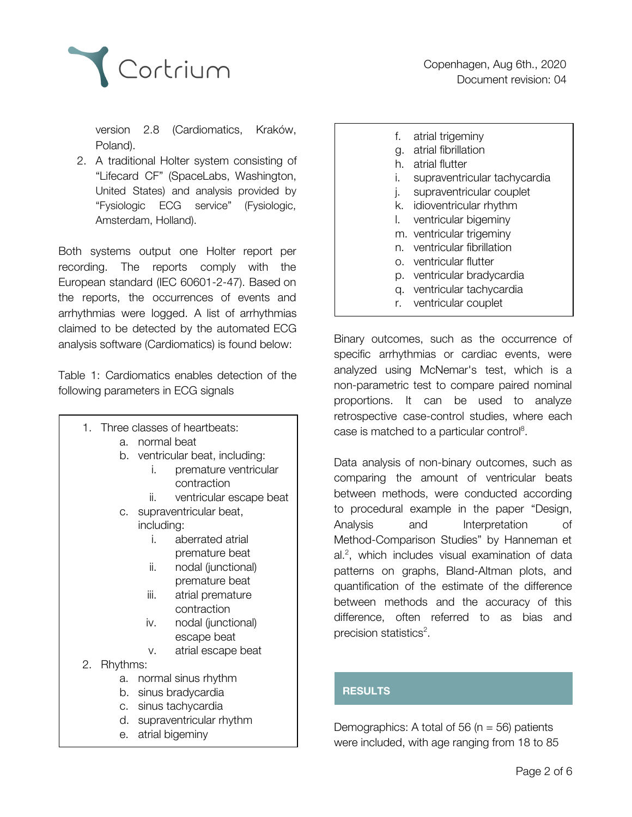

version 2.8 (Cardiomatics, Kraków, Poland).

2. A traditional Holter system consisting of "Lifecard CF" (SpaceLabs, Washington, United States) and analysis provided by "Fysiologic ECG service" (Fysiologic, Amsterdam, Holland).

Both systems output one Holter report per recording. The reports comply with the European standard (IEC 60601-2-47). Based on the reports, the occurrences of events and arrhythmias were logged. A list of arrhythmias claimed to be detected by the automated ECG analysis software (Cardiomatics) is found below:

Table 1: Cardiomatics enables detection of the following parameters in ECG signals

1. Three classes of heartbeats: a. normal beat b. ventricular beat, including: i. premature ventricular contraction ii. ventricular escape beat c. supraventricular beat, including: i. aberrated atrial premature beat ii. nodal (junctional) premature beat iii. atrial premature contraction iv. nodal (junctional) escape beat v. atrial escape beat 2. Rhythms: a. normal sinus rhythm b. sinus bradycardia c. sinus tachycardia d. supraventricular rhythm e. atrial bigeminy

- f. atrial trigeminy
	- g. atrial fibrillation
	- h. atrial flutter
	- i. supraventricular tachycardia
	- j. supraventricular couplet
	- k. idioventricular rhythm
	- l. ventricular bigeminy
	- m. ventricular trigeminy
	- n. ventricular fibrillation
	- o. ventricular flutter
	- p. ventricular bradycardia
	- q. ventricular tachycardia
	- r. ventricular couplet

Binary outcomes, such as the occurrence of specific arrhythmias or cardiac events, were analyzed using McNemar's test, which is a non-parametric test to compare paired nominal proportions. It can be used to analyze retrospective case-control studies, where each case is matched to a particular control<sup>[8](https://www.zotero.org/google-docs/?ItAFJF)</sup>.

Data analysis of non-binary outcomes, such as comparing the amount of ventricular beats between methods, were conducted according to procedural example in the paper "Design, Analysis and Interpretation of Method-Comparison Studies" by Hanneman et al. [2](https://www.zotero.org/google-docs/?LRrDYN) , which includes visual examination of data patterns on graphs, Bland-Altman plots, and quantification of the estimate of the difference between methods and the accuracy of this difference, often referred to as bias and precision statistics<sup>[2](https://www.zotero.org/google-docs/?UhINEU)</sup>.

## **RESULTS**

Demographics: A total of 56 ( $n = 56$ ) patients were included, with age ranging from 18 to 85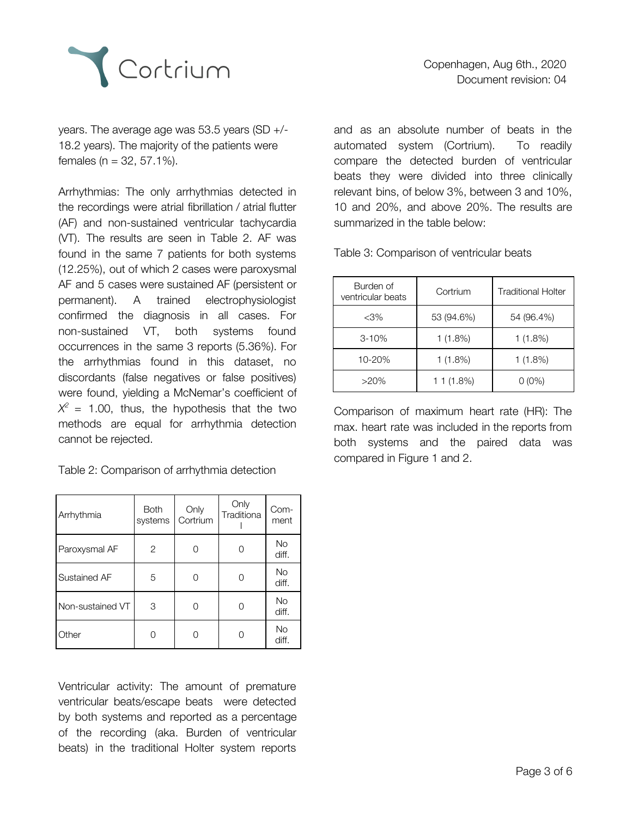

years. The average age was 53.5 years (SD +/- 18.2 years). The majority of the patients were females  $(n = 32, 57, 1\%)$ .

Arrhythmias: The only arrhythmias detected in the recordings were atrial fibrillation / atrial flutter (AF) and non-sustained ventricular tachycardia (VT). The results are seen in Table 2. AF was found in the same 7 patients for both systems (12.25%), out of which 2 cases were paroxysmal AF and 5 cases were sustained AF (persistent or permanent). A trained electrophysiologist confirmed the diagnosis in all cases. For non-sustained VT, both systems found occurrences in the same 3 reports (5.36%). For the arrhythmias found in this dataset, no discordants (false negatives or false positives) were found, yielding a McNemar's coefficient of  $X^2$  = 1.00, thus, the hypothesis that the two methods are equal for arrhythmia detection cannot be rejected.

| Arrhythmia       | <b>Both</b><br>systems | Only<br>Cortrium | Only<br>Traditiona | Com-<br>ment       |
|------------------|------------------------|------------------|--------------------|--------------------|
| Paroxysmal AF    | 2                      | 0                |                    | <b>No</b><br>diff. |
| Sustained AF     | 5                      | Ω                |                    | <b>No</b><br>diff. |
| Non-sustained VT | 3                      | Ω                |                    | <b>No</b><br>diff. |
| Other            |                        |                  |                    | <b>No</b><br>diff. |

Table 2: Comparison of arrhythmia detection

Ventricular activity: The amount of premature ventricular beats/escape beats were detected by both systems and reported as a percentage of the recording (aka. Burden of ventricular beats) in the traditional Holter system reports and as an absolute number of beats in the automated system (Cortrium). To readily compare the detected burden of ventricular beats they were divided into three clinically relevant bins, of below 3%, between 3 and 10%, 10 and 20%, and above 20%. The results are summarized in the table below:

Table 3: Comparison of ventricular beats

| Burden of<br>ventricular beats | Cortrium    | <b>Traditional Holter</b> |
|--------------------------------|-------------|---------------------------|
| $<$ 3%                         | 53 (94.6%)  | 54 (96.4%)                |
| $3 - 10%$                      | $1(1.8\%)$  | $1(1.8\%)$                |
| 10-20%                         | $1(1.8\%)$  | $1(1.8\%)$                |
| $>20\%$                        | $11(1.8\%)$ | $0(0\%)$                  |

Comparison of maximum heart rate (HR): The max. heart rate was included in the reports from both systems and the paired data was compared in Figure 1 and 2.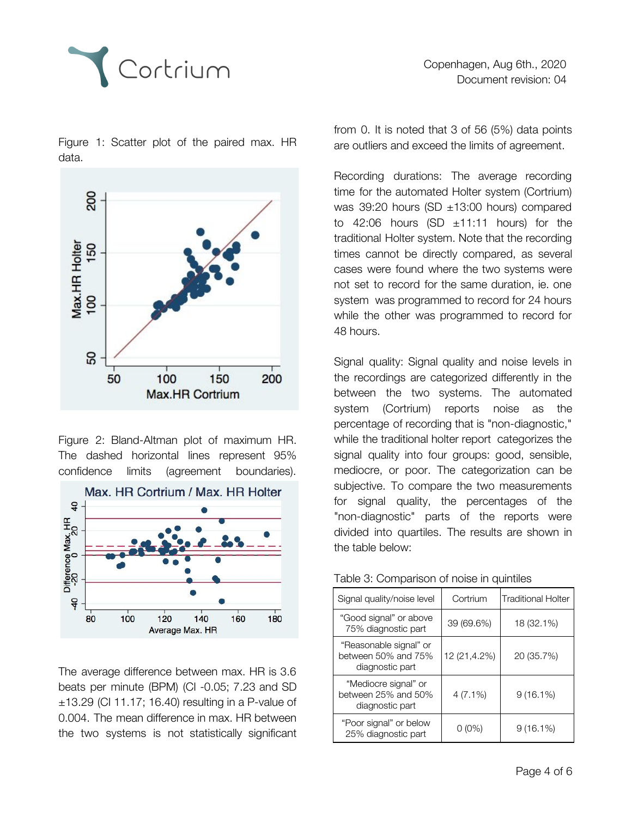

Figure 1: Scatter plot of the paired max. HR data.



Figure 2: Bland-Altman plot of maximum HR. The dashed horizontal lines represent 95% confidence limits (agreement boundaries).



The average difference between max. HR is 3.6 beats per minute (BPM) (CI -0.05; 7.23 and SD  $\pm$ 13.29 (CI 11.17; 16.40) resulting in a P-value of 0.004. The mean difference in max. HR between the two systems is not statistically significant from 0. It is noted that 3 of 56 (5%) data points are outliers and exceed the limits of agreement.

Recording durations: The average recording time for the automated Holter system (Cortrium) was 39:20 hours (SD ±13:00 hours) compared to  $42:06$  hours (SD  $\pm 11:11$  hours) for the traditional Holter system. Note that the recording times cannot be directly compared, as several cases were found where the two systems were not set to record for the same duration, ie. one system was programmed to record for 24 hours while the other was programmed to record for 48 hours.

Signal quality: Signal quality and noise levels in the recordings are categorized differently in the between the two systems. The automated system (Cortrium) reports noise as the percentage of recording that is "non-diagnostic," while the traditional holter report categorizes the signal quality into four groups: good, sensible, mediocre, or poor. The categorization can be subjective. To compare the two measurements for signal quality, the percentages of the "non-diagnostic" parts of the reports were divided into quartiles. The results are shown in the table below:

| Signal quality/noise level                                       | Cortrium     | <b>Traditional Holter</b> |
|------------------------------------------------------------------|--------------|---------------------------|
| "Good signal" or above<br>75% diagnostic part                    | 39 (69.6%)   | 18 (32.1%)                |
| "Reasonable signal" or<br>between 50% and 75%<br>diagnostic part | 12 (21,4.2%) | 20 (35.7%)                |
| "Mediocre signal" or<br>between 25% and 50%<br>diagnostic part   | $4(7.1\%)$   | $9(16.1\%)$               |
| "Poor signal" or below<br>25% diagnostic part                    | $0(0\%)$     | $9(16.1\%)$               |

#### Table 3: Comparison of noise in quintiles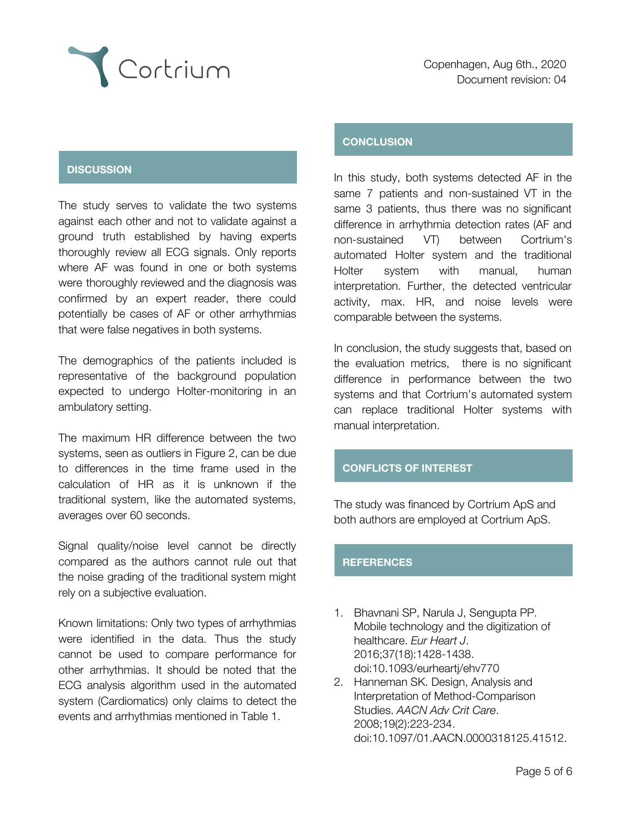

#### **DISCUSSION**

The study serves to validate the two systems against each other and not to validate against a ground truth established by having experts thoroughly review all ECG signals. Only reports where AF was found in one or both systems were thoroughly reviewed and the diagnosis was confirmed by an expert reader, there could potentially be cases of AF or other arrhythmias that were false negatives in both systems.

The demographics of the patients included is representative of the background population expected to undergo Holter-monitoring in an ambulatory setting.

The maximum HR difference between the two systems, seen as outliers in Figure 2, can be due to differences in the time frame used in the calculation of HR as it is unknown if the traditional system, like the automated systems, averages over 60 seconds.

Signal quality/noise level cannot be directly compared as the authors cannot rule out that the noise grading of the traditional system might rely on a subjective evaluation.

Known limitations: Only two types of arrhythmias were identified in the data. Thus the study cannot be used to compare performance for other arrhythmias. It should be noted that the ECG analysis algorithm used in the automated system (Cardiomatics) only claims to detect the events and arrhythmias mentioned in Table 1.

#### **CONCLUSION**

In this study, both systems detected AF in the same 7 patients and non-sustained VT in the same 3 patients, thus there was no significant difference in arrhythmia detection rates (AF and non-sustained VT) between Cortrium's automated Holter system and the traditional Holter system with manual, human interpretation. Further, the detected ventricular activity, max. HR, and noise levels were comparable between the systems.

In conclusion, the study suggests that, based on the evaluation metrics, there is no significant difference in performance between the two systems and that Cortrium's automated system can replace traditional Holter systems with manual interpretation.

#### **CONFLICTS OF INTEREST**

The study was financed by Cortrium ApS and both authors are employed at Cortrium ApS.

#### **REFERENCES**

- [1.](https://www.zotero.org/google-docs/?porCcC) Bhavnani SP, Narula J, [Sengupta](https://www.zotero.org/google-docs/?porCcC) PP. Mobile [technology](https://www.zotero.org/google-docs/?porCcC) and the digitization of [healthcare.](https://www.zotero.org/google-docs/?porCcC) *Eur [Heart](https://www.zotero.org/google-docs/?porCcC) J*[.](https://www.zotero.org/google-docs/?porCcC) [2016;37\(18\):1428-1438.](https://www.zotero.org/google-docs/?porCcC) [doi:10.1093/eurheartj/ehv770](https://www.zotero.org/google-docs/?porCcC)
- [2.](https://www.zotero.org/google-docs/?porCcC) [Hanneman](https://www.zotero.org/google-docs/?porCcC) SK. Design, Analysis and Interpretation of [Method-Comparison](https://www.zotero.org/google-docs/?porCcC) [Studies.](https://www.zotero.org/google-docs/?porCcC) *[AACN](https://www.zotero.org/google-docs/?porCcC) Adv Crit Care*[.](https://www.zotero.org/google-docs/?porCcC) [2008;19\(2\):223-234.](https://www.zotero.org/google-docs/?porCcC) [doi:10.1097/01.AACN.0000318125.41512.](https://www.zotero.org/google-docs/?porCcC)